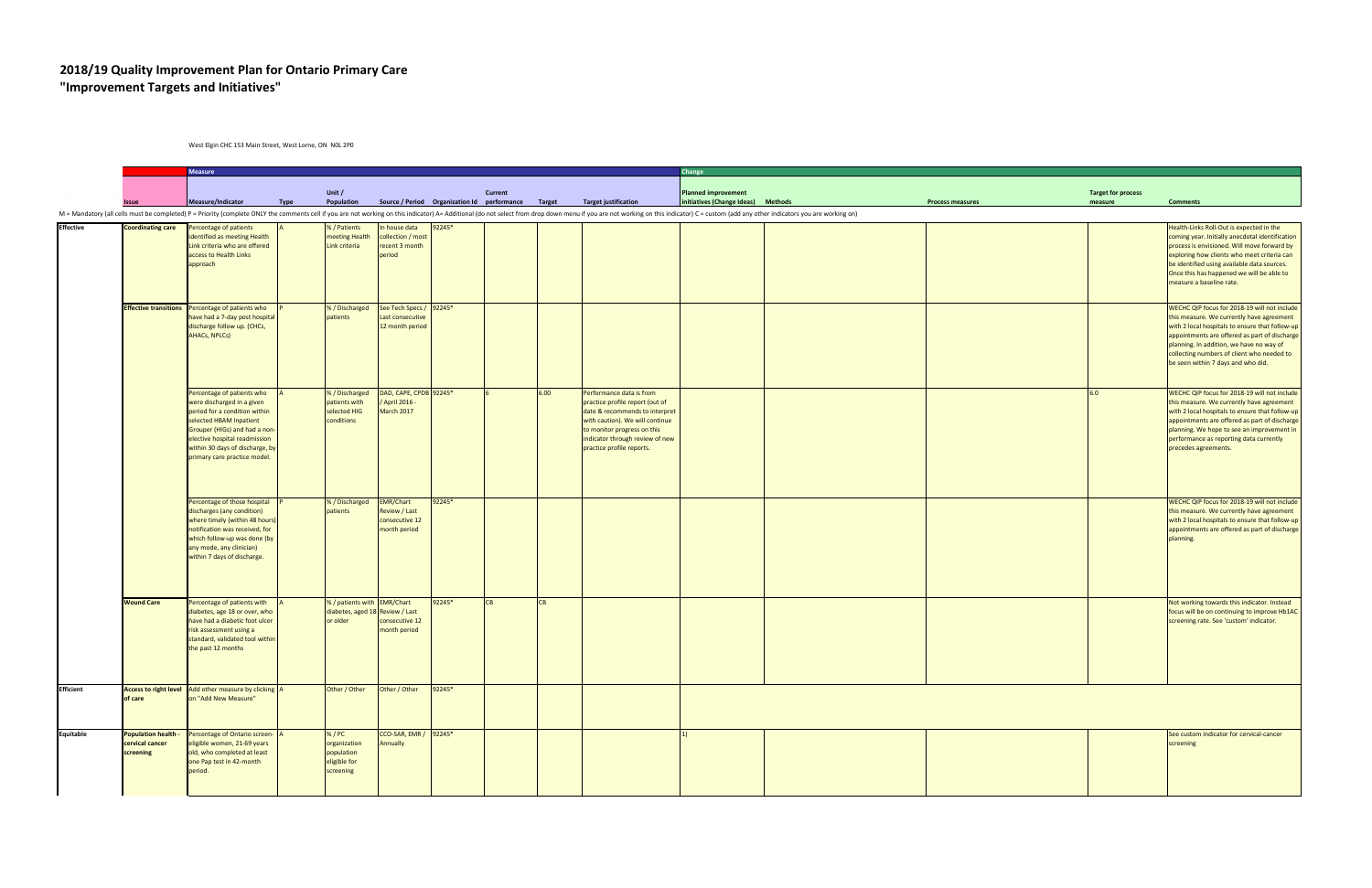## **2018/19 Quality Improvement Plan for Ontario Primary Care "Improvement Targets and Initiatives"**

West Elgin CHC 153 Main Street, West Lorne, ON N0L 2P0

|                                                            | <b>Measure</b>                                                                                                                                                                                                                                            |             |                                                                            |                                                                     |        |                |      |                                                                                                                                                                                                                                 | Change                                                                                                                                                                                                                         |  |         |                                                                                                                                                                                                                                                                                                                               |  |
|------------------------------------------------------------|-----------------------------------------------------------------------------------------------------------------------------------------------------------------------------------------------------------------------------------------------------------|-------------|----------------------------------------------------------------------------|---------------------------------------------------------------------|--------|----------------|------|---------------------------------------------------------------------------------------------------------------------------------------------------------------------------------------------------------------------------------|--------------------------------------------------------------------------------------------------------------------------------------------------------------------------------------------------------------------------------|--|---------|-------------------------------------------------------------------------------------------------------------------------------------------------------------------------------------------------------------------------------------------------------------------------------------------------------------------------------|--|
| Issue                                                      | Measure/Indicator                                                                                                                                                                                                                                         | <b>Type</b> | Unit /<br>Population                                                       | Source / Period Organization Id performance Target                  |        | <b>Current</b> |      | <b>Target justification</b>                                                                                                                                                                                                     | <b>Target for process</b><br><b>Planned improvement</b><br>initiatives (Change Ideas) Methods<br><b>Process measures</b>                                                                                                       |  |         | <b>Comments</b>                                                                                                                                                                                                                                                                                                               |  |
|                                                            |                                                                                                                                                                                                                                                           |             |                                                                            |                                                                     |        |                |      |                                                                                                                                                                                                                                 | M = Mandatory (all cells must be completed) P = Priority (complete ONLY the comments cell if you are not working on this indicator) A= Additional (do not select from drop down menu if you are not working on this indicator) |  | measure |                                                                                                                                                                                                                                                                                                                               |  |
| <b>Coordinating care</b>                                   | Percentage of patients<br>identified as meeting Health<br>Link criteria who are offered<br>access to Health Links<br>approach                                                                                                                             |             | % / Patients<br>meeting Health<br>Link criteria                            | In house data<br>collection / most<br>recent 3 month<br>period      | 92245* |                |      |                                                                                                                                                                                                                                 |                                                                                                                                                                                                                                |  |         | Health-Links Roll-Out is expected in the<br>coming year. Initially anecdotal identification<br>process is envisioned. Will move forward by<br>exploring how clients who meet criteria can<br>be identified using available data sources.<br>Once this has happened we will be able to<br>measure a baseline rate.             |  |
| <b>Effective transitions</b>                               | Percentage of patients who<br>have had a 7-day post hospital<br>discharge follow up. (CHCs,<br>AHACs, NPLCs)                                                                                                                                              |             | % / Discharged<br>patients                                                 | See Tech Specs / 92245*<br>Last consecutive<br>12 month period      |        |                |      |                                                                                                                                                                                                                                 |                                                                                                                                                                                                                                |  |         | WECHC QIP focus for 2018-19 will not include<br>this measure. We currently have agreement<br>with 2 local hospitals to ensure that follow-up<br>appointments are offered as part of discharge<br>planning. In addition, we have no way of<br>collecting numbers of client who needed to<br>be seen within 7 days and who did. |  |
|                                                            | Percentage of patients who<br>were discharged in a given<br>period for a condition within<br>selected HBAM Inpatient<br>Grouper (HIGs) and had a non-<br>elective hospital readmission<br>within 30 days of discharge, by<br>primary care practice model. |             | % / Discharged<br>patients with<br>selected HIG<br>conditions              | DAD, CAPE, CPDB 92245*<br>April 2016 -<br>March 2017                |        |                | 6.00 | Performance data is from<br>practice profile report (out of<br>date & recommends to interpret<br>with caution). We will continue<br>to monitor progress on this<br>indicator through review of new<br>practice profile reports. |                                                                                                                                                                                                                                |  | 6.0     | WECHC QIP focus for 2018-19 will not include<br>this measure. We currently have agreement<br>with 2 local hospitals to ensure that follow-up<br>appointments are offered as part of discharge<br>planning. We hope to see an improvement in<br>performance as reporting data currently<br>precedes agreements.                |  |
|                                                            | Percentage of those hospital<br>discharges (any condition)<br>where timely (within 48 hours)<br>notification was received, for<br>which follow-up was done (by<br>any mode, any clinician)<br>within 7 days of discharge.                                 |             | % / Discharged<br>patients                                                 | <b>EMR/Chart</b><br>Review / Last<br>consecutive 12<br>month period | 92245* |                |      |                                                                                                                                                                                                                                 |                                                                                                                                                                                                                                |  |         | WECHC QIP focus for 2018-19 will not include<br>this measure. We currently have agreement<br>with 2 local hospitals to ensure that follow-up<br>appointments are offered as part of discharge<br>planning.                                                                                                                    |  |
| <b>Wound Care</b>                                          | Percentage of patients with<br>diabetes, age 18 or over, who<br>have had a diabetic foot ulcer<br>risk assessment using a<br>standard, validated tool within<br>the past 12 months                                                                        |             | % / patients with EMR/Chart<br>diabetes, aged 18 Review / Last<br>or older | consecutive 12<br>month period                                      | 92245* | CB             | CB   |                                                                                                                                                                                                                                 |                                                                                                                                                                                                                                |  |         | Not working towards this indicator. Instead<br>focus will be on continuing to improve Hb1AC<br>screening rate. See 'custom' indicator.                                                                                                                                                                                        |  |
| of care                                                    | Access to right level Add other measure by clicking A<br>on "Add New Measure"                                                                                                                                                                             |             | Other / Other                                                              | Other / Other                                                       | 92245* |                |      |                                                                                                                                                                                                                                 |                                                                                                                                                                                                                                |  |         |                                                                                                                                                                                                                                                                                                                               |  |
| <b>Population health -</b><br>cervical cancer<br>screening | Percentage of Ontario screen-<br>eligible women, 21-69 years<br>old, who completed at least<br>one Pap test in 42-month<br>period.                                                                                                                        |             | % / PC<br>organization<br>population<br>eligible for<br>screening          | CCO-SAR, EMR / 92245*<br>Annually                                   |        |                |      |                                                                                                                                                                                                                                 |                                                                                                                                                                                                                                |  |         | See custom indicator for cervical-cancer<br>screening                                                                                                                                                                                                                                                                         |  |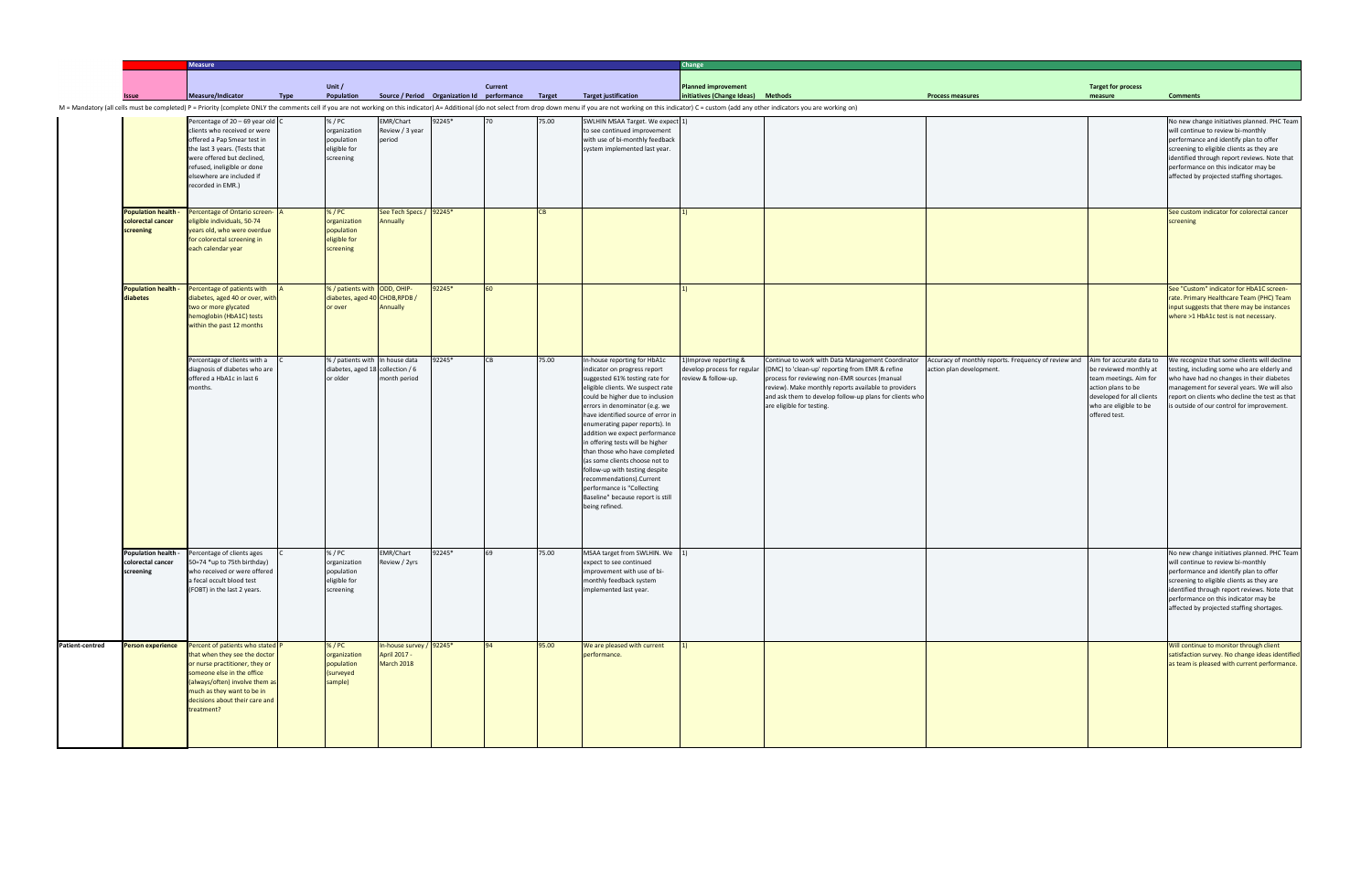|                                                              | <b>Measure</b>                                                                                                                                                                                                                                   |             |                                                                                 |                                                               |        |                                                                      |           |                                                                                                                                                                                                                                                                                                                                                                                                                                                                                                                                                                               | Change                                                                      |                                                                                                                                                                                                                                                                                                       |                                                                                                           |                                                                                                                                                |                                                                                                                                                                                                                                                                                                               |  |
|--------------------------------------------------------------|--------------------------------------------------------------------------------------------------------------------------------------------------------------------------------------------------------------------------------------------------|-------------|---------------------------------------------------------------------------------|---------------------------------------------------------------|--------|----------------------------------------------------------------------|-----------|-------------------------------------------------------------------------------------------------------------------------------------------------------------------------------------------------------------------------------------------------------------------------------------------------------------------------------------------------------------------------------------------------------------------------------------------------------------------------------------------------------------------------------------------------------------------------------|-----------------------------------------------------------------------------|-------------------------------------------------------------------------------------------------------------------------------------------------------------------------------------------------------------------------------------------------------------------------------------------------------|-----------------------------------------------------------------------------------------------------------|------------------------------------------------------------------------------------------------------------------------------------------------|---------------------------------------------------------------------------------------------------------------------------------------------------------------------------------------------------------------------------------------------------------------------------------------------------------------|--|
|                                                              | Measure/Indicator                                                                                                                                                                                                                                |             | Unit /<br>Population                                                            |                                                               |        | <b>Current</b><br>Source / Period Organization Id performance Target |           | <b>Target justification</b>                                                                                                                                                                                                                                                                                                                                                                                                                                                                                                                                                   | <b>Planned improvement</b><br>initiatives (Change Ideas) Methods            |                                                                                                                                                                                                                                                                                                       | <b>Process measures</b>                                                                                   | <b>Target for process</b><br>measure                                                                                                           | <b>Comments</b>                                                                                                                                                                                                                                                                                               |  |
|                                                              |                                                                                                                                                                                                                                                  | <b>Type</b> |                                                                                 |                                                               |        |                                                                      |           | M = Mandatory (all cells must be completed) P = Priority (complete ONLY the comments cell if you are not working on this indicator) A= Additional (do not select from drop down menu if you are not working on this indicator)                                                                                                                                                                                                                                                                                                                                                |                                                                             |                                                                                                                                                                                                                                                                                                       |                                                                                                           |                                                                                                                                                |                                                                                                                                                                                                                                                                                                               |  |
|                                                              | Percentage of 20 - 69 year old C<br>clients who received or were<br>offered a Pap Smear test in<br>the last 3 years. (Tests that<br>were offered but declined,<br>refused, ineligible or done<br>elsewhere are included if<br>recorded in EMR.)  |             | % / PC<br>organization<br>population<br>eligible for<br>screening               | EMR/Chart<br>Review / 3 year<br>period                        | 92245* | $70^{\circ}$                                                         | 75.00     | SWLHIN MSAA Target. We expect 1)<br>to see continued improvement<br>with use of bi-monthly feedback<br>system implemented last year.                                                                                                                                                                                                                                                                                                                                                                                                                                          |                                                                             |                                                                                                                                                                                                                                                                                                       |                                                                                                           |                                                                                                                                                | No new change initiatives planned. PHC Team<br>will continue to review bi-monthly<br>performance and identify plan to offer<br>screening to eligible clients as they are<br>identified through report reviews. Note that<br>performance on this indicator may be<br>affected by projected staffing shortages. |  |
| <b>Population health -</b><br>colorectal cancer<br>screening | Percentage of Ontario screen-<br>eligible individuals, 50-74<br>years old, who were overdue<br>for colorectal screening in<br>each calendar year                                                                                                 |             | % / PC<br>organization<br>population<br>eligible for<br>screening               | See Tech Specs / 92245*<br>Annually                           |        |                                                                      | <b>CB</b> |                                                                                                                                                                                                                                                                                                                                                                                                                                                                                                                                                                               |                                                                             |                                                                                                                                                                                                                                                                                                       |                                                                                                           |                                                                                                                                                | See custom indicator for colorectal cancer<br>screening                                                                                                                                                                                                                                                       |  |
| <b>Population health -</b><br>diabetes                       | Percentage of patients with<br>diabetes, aged 40 or over, witl<br>two or more glycated<br>hemoglobin (HbA1C) tests<br>within the past 12 months                                                                                                  |             | % / patients with ODD, OHIP-<br>diabetes, aged 40 CHDB, RPDB /<br>or over       | Annually                                                      | 92245* | 60                                                                   |           |                                                                                                                                                                                                                                                                                                                                                                                                                                                                                                                                                                               |                                                                             |                                                                                                                                                                                                                                                                                                       |                                                                                                           |                                                                                                                                                | See "Custom" indicator for HbA1C screen-<br>rate. Primary Healthcare Team (PHC) Team<br>input suggests that there may be instances<br>where >1 HbA1c test is not necessary.                                                                                                                                   |  |
|                                                              | Percentage of clients with a<br>diagnosis of diabetes who are<br>offered a HbA1c in last 6<br>nonths.                                                                                                                                            |             | % / patients with In house data<br>diabetes, aged 18 collection / 6<br>or older | month period                                                  | 92245* | <b>CB</b>                                                            | 75.00     | In-house reporting for HbA1c<br>indicator on progress report<br>suggested 61% testing rate for<br>eligible clients. We suspect rate<br>could be higher due to inclusion<br>errors in denominator (e.g. we<br>have identified source of error in<br>enumerating paper reports). In<br>addition we expect performance<br>in offering tests will be higher<br>than those who have completed<br>(as some clients choose not to<br>follow-up with testing despite<br>recommendations).Current<br>performance is "Collecting<br>Baseline" because report is still<br>being refined. | 1) Improve reporting &<br>develop process for regular<br>eview & follow-up. | Continue to work with Data Management Coordinator<br>(DMC) to 'clean-up' reporting from EMR & refine<br>process for reviewing non-EMR sources (manual<br>review). Make monthly reports available to providers<br>and ask them to develop follow-up plans for clients who<br>are eligible for testing. | Accuracy of monthly reports. Frequency of review and Aim for accurate data to<br>action plan development. | be reviewed monthly at<br>team meetings. Aim for<br>action plans to be<br>developed for all clients<br>who are eligible to be<br>offered test. | We recognize that some clients will decline<br>testing, including some who are elderly and<br>who have had no changes in their diabetes<br>management for several years. We will also<br>report on clients who decline the test as that<br>is outside of our control for improvement.                         |  |
| <b>Population health -</b><br>colorectal cancer<br>screening | Percentage of clients ages<br>50=74 *up to 75th birthday)<br>who received or were offered<br>a fecal occult blood test<br>(FOBT) in the last 2 years.                                                                                            |             | % / PC<br>organization<br>population<br>eligible for<br>screening               | EMR/Chart<br>Review / 2yrs                                    | 92245* |                                                                      | 75.00     | MSAA target from SWLHIN. We 1)<br>expect to see continued<br>improvement with use of bi-<br>monthly feedback system<br>implemented last year.                                                                                                                                                                                                                                                                                                                                                                                                                                 |                                                                             |                                                                                                                                                                                                                                                                                                       |                                                                                                           |                                                                                                                                                | No new change initiatives planned. PHC Team<br>will continue to review bi-monthly<br>performance and identify plan to offer<br>screening to eligible clients as they are<br>identified through report reviews. Note that<br>performance on this indicator may be<br>affected by projected staffing shortages. |  |
| <b>Person experience</b>                                     | Percent of patients who stated P<br>that when they see the doctor<br>or nurse practitioner, they or<br>someone else in the office<br>(always/often) involve them a<br>much as they want to be in<br>decisions about their care and<br>treatment? |             | % / PC<br>organization<br>population<br>(surveyed<br>sample)                    | In-house survey / 92245*<br>April 2017 -<br><b>March 2018</b> |        | 94                                                                   | 95.00     | We are pleased with current<br>performance.                                                                                                                                                                                                                                                                                                                                                                                                                                                                                                                                   |                                                                             |                                                                                                                                                                                                                                                                                                       |                                                                                                           |                                                                                                                                                | Will continue to monitor through client<br>satisfaction survey. No change ideas identified<br>as team is pleased with current performance.                                                                                                                                                                    |  |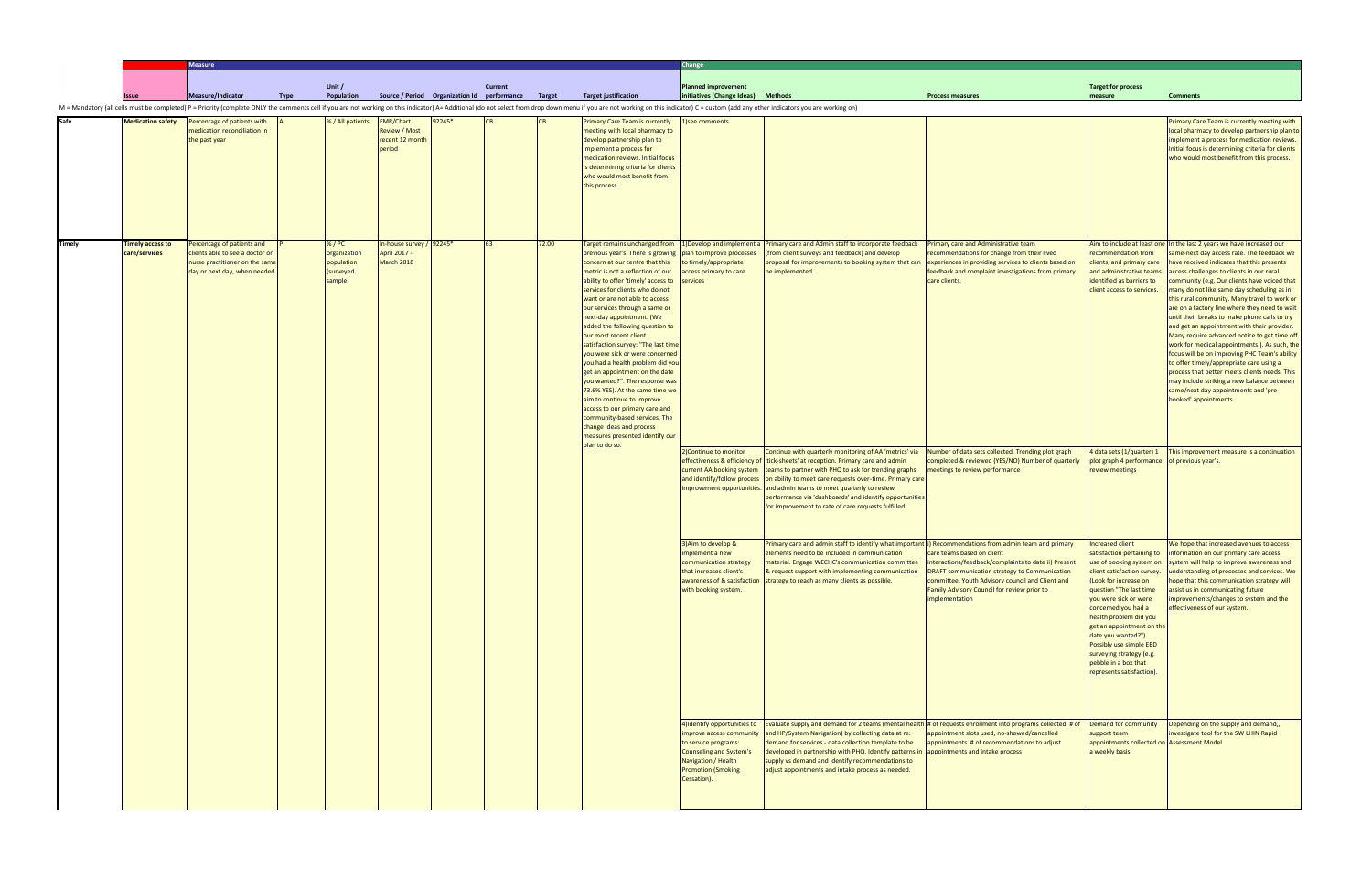|               |                                          | <b>Measure</b>                                                                                                                  |             |                                                              |                                                                       |                                                    |                |       |                                                                                                                                                                                                                                                                                                                                                                                                                                                                                                                                                                                                                                                                                                                                                                         | Change                                                                                                                                                    |                                                                                                                                                                                                                                                                                                                                                                                                                                                                                       |                                                                                                                                                                                                                                                          |                                                                                                                                                                                                                                                                                                                                              |                                                                                                                                                                                                                                                                                                                                                                                                                                                                                                                                                                                                                                                                                                                                                                                                                                                                             |  |
|---------------|------------------------------------------|---------------------------------------------------------------------------------------------------------------------------------|-------------|--------------------------------------------------------------|-----------------------------------------------------------------------|----------------------------------------------------|----------------|-------|-------------------------------------------------------------------------------------------------------------------------------------------------------------------------------------------------------------------------------------------------------------------------------------------------------------------------------------------------------------------------------------------------------------------------------------------------------------------------------------------------------------------------------------------------------------------------------------------------------------------------------------------------------------------------------------------------------------------------------------------------------------------------|-----------------------------------------------------------------------------------------------------------------------------------------------------------|---------------------------------------------------------------------------------------------------------------------------------------------------------------------------------------------------------------------------------------------------------------------------------------------------------------------------------------------------------------------------------------------------------------------------------------------------------------------------------------|----------------------------------------------------------------------------------------------------------------------------------------------------------------------------------------------------------------------------------------------------------|----------------------------------------------------------------------------------------------------------------------------------------------------------------------------------------------------------------------------------------------------------------------------------------------------------------------------------------------|-----------------------------------------------------------------------------------------------------------------------------------------------------------------------------------------------------------------------------------------------------------------------------------------------------------------------------------------------------------------------------------------------------------------------------------------------------------------------------------------------------------------------------------------------------------------------------------------------------------------------------------------------------------------------------------------------------------------------------------------------------------------------------------------------------------------------------------------------------------------------------|--|
|               |                                          |                                                                                                                                 |             |                                                              |                                                                       |                                                    |                |       |                                                                                                                                                                                                                                                                                                                                                                                                                                                                                                                                                                                                                                                                                                                                                                         |                                                                                                                                                           |                                                                                                                                                                                                                                                                                                                                                                                                                                                                                       |                                                                                                                                                                                                                                                          |                                                                                                                                                                                                                                                                                                                                              |                                                                                                                                                                                                                                                                                                                                                                                                                                                                                                                                                                                                                                                                                                                                                                                                                                                                             |  |
|               |                                          | Measure/Indicator                                                                                                               | <b>Type</b> | Unit /<br>Population                                         |                                                                       | Source / Period Organization Id performance Target | <b>Current</b> |       | <b>Target justification</b>                                                                                                                                                                                                                                                                                                                                                                                                                                                                                                                                                                                                                                                                                                                                             | <b>Planned improvement</b><br>initiatives (Change Ideas) Methods                                                                                          |                                                                                                                                                                                                                                                                                                                                                                                                                                                                                       | <b>Process measures</b>                                                                                                                                                                                                                                  | <b>Target for process</b><br>measure                                                                                                                                                                                                                                                                                                         | <b>Comments</b>                                                                                                                                                                                                                                                                                                                                                                                                                                                                                                                                                                                                                                                                                                                                                                                                                                                             |  |
|               |                                          |                                                                                                                                 |             |                                                              |                                                                       |                                                    |                |       | M = Mandatory (all cells must be completed) P = Priority (complete ONLY the comments cell if you are not working on this indicator) A= Additional (do not select from drop down menu if you are not working on this indicator                                                                                                                                                                                                                                                                                                                                                                                                                                                                                                                                           |                                                                                                                                                           |                                                                                                                                                                                                                                                                                                                                                                                                                                                                                       |                                                                                                                                                                                                                                                          |                                                                                                                                                                                                                                                                                                                                              |                                                                                                                                                                                                                                                                                                                                                                                                                                                                                                                                                                                                                                                                                                                                                                                                                                                                             |  |
| Safe          | <b>Medication safety</b>                 | Percentage of patients with<br>medication reconciliation in<br>the past year                                                    |             | % / All patients                                             | <b>EMR/Chart</b><br><b>Review / Most</b><br>recent 12 month<br>period | 92245*                                             |                |       | <b>Primary Care Team is currently</b><br>meeting with local pharmacy to<br>develop partnership plan to<br>implement a process for<br>medication reviews. Initial focus<br>is determining criteria for clients<br>who would most benefit from<br>this process.                                                                                                                                                                                                                                                                                                                                                                                                                                                                                                           | 1)see comments                                                                                                                                            |                                                                                                                                                                                                                                                                                                                                                                                                                                                                                       |                                                                                                                                                                                                                                                          |                                                                                                                                                                                                                                                                                                                                              | Primary Care Team is currently meeting with<br>local pharmacy to develop partnership plan to<br>implement a process for medication reviews.<br>Initial focus is determining criteria for clients<br>who would most benefit from this process.                                                                                                                                                                                                                                                                                                                                                                                                                                                                                                                                                                                                                               |  |
| <b>Timely</b> | <b>Timely access to</b><br>care/services | ercentage of patients and<br>clients able to see a doctor or<br>nurse practitioner on the same<br>day or next day, when needed. |             | % / PC<br>organization<br>population<br>(surveyed<br>sample) | In-house survey / 92245*<br>April 2017 -<br>March 2018                |                                                    |                | 72.00 | Target remains unchanged from<br>previous year's. There is growing<br>concern at our centre that this<br>metric is not a reflection of our<br>ability to offer 'timely' access to<br>services for clients who do not<br>want or are not able to access<br>our services through a same or<br>next-day appointment. (We<br>added the following question to<br>our most recent client<br>satisfaction survey: "The last time<br>you were sick or were concerned<br>you had a health problem did you<br>get an appointment on the date<br>you wanted?". The response was<br>73.6% YES). At the same time we<br>aim to continue to improve<br>access to our primary care and<br>community-based services. The<br>change ideas and process<br>measures presented identify our | plan to improve processes<br>to timely/appropriate<br>access primary to care<br>services                                                                  | 1) Develop and implement a Primary care and Admin staff to incorporate feedback<br>(from client surveys and feedback) and develop<br>proposal for improvements to booking system that can<br>be implemented.                                                                                                                                                                                                                                                                          | Primary care and Administrative team<br>recommendations for change from their lived<br>experiences in providing services to clients based on<br>eedback and complaint investigations from primary<br>care clients.                                       | recommendation from<br>lients, and primary care<br>nd administrative teams<br>identified as barriers to<br>client access to services.                                                                                                                                                                                                        | Aim to include at least one In the last 2 years we have increased our<br>same-next day access rate. The feedback we<br>have received indicates that this presents<br>access challenges to clients in our rural<br>community (e.g. Our clients have voiced that<br>many do not like same day scheduling as in<br>this rural community. Many travel to work or<br>are on a factory line where they need to wait<br>until their breaks to make phone calls to try<br>and get an appointment with their provider.<br>Many require advanced notice to get time off<br>work for medical appointments.). As such, the<br>focus will be on improving PHC Team's ability<br>to offer timely/appropriate care using a<br>process that better meets clients needs. This<br>may include striking a new balance between<br>same/next day appointments and 'pre-<br>booked' appointments. |  |
|               |                                          |                                                                                                                                 |             |                                                              |                                                                       |                                                    |                |       | plan to do so.                                                                                                                                                                                                                                                                                                                                                                                                                                                                                                                                                                                                                                                                                                                                                          | 2) Continue to monitor<br>current AA booking system                                                                                                       | Continue with quarterly monitoring of AA 'metrics' via<br>effectiveness & efficiency of 'tick-sheets' at reception. Primary care and admin<br>teams to partner with PHQ to ask for trending graphs<br>and identify/follow process on ability to meet care requests over-time. Primary care<br>mprovement opportunities. and admin teams to meet quarterly to review<br>performance via 'dashboards' and identify opportunities<br>for improvement to rate of care requests fulfilled. | Number of data sets collected. Trending plot graph<br>completed & reviewed (YES/NO) Number of quarterly<br>neetings to review performance                                                                                                                | 4 data sets (1/quarter) 1<br>plot graph 4 performance of previous year's.<br>review meetings                                                                                                                                                                                                                                                 | This improvement measure is a continuation                                                                                                                                                                                                                                                                                                                                                                                                                                                                                                                                                                                                                                                                                                                                                                                                                                  |  |
|               |                                          |                                                                                                                                 |             |                                                              |                                                                       |                                                    |                |       |                                                                                                                                                                                                                                                                                                                                                                                                                                                                                                                                                                                                                                                                                                                                                                         | 3) Aim to develop &<br>mplement a new<br>communication strategy<br>that increases client's<br>with booking system.                                        | Primary care and admin staff to identify what important (i) Recommendations from admin team and primary<br>elements need to be included in communication<br>material. Engage WECHC's communication committee<br>& request support with implementing communication<br>awareness of & satisfaction strategy to reach as many clients as possible.                                                                                                                                       | care teams based on client<br>interactions/feedback/complaints to date ii) Present<br>DRAFT communication strategy to Communication<br>committee, Youth Advisory council and Client and<br>Family Advisory Council for review prior to<br>implementation | Increased client<br>client satisfaction survey.<br>(Look for increase on<br>question "The last time<br>you were sick or were<br>concerned you had a<br>health problem did you<br>get an appointment on the<br>date you wanted?")<br>Possibly use simple EBD<br>surveying strategy (e.g.<br>pebble in a box that<br>represents satisfaction). | We hope that increased avenues to access<br>satisfaction pertaining to information on our primary care access<br>use of booking system on system will help to improve awareness and<br>understanding of processes and services. We<br>hope that this communication strategy will<br>assist us in communicating future<br>improvements/changes to system and the<br>effectiveness of our system.                                                                                                                                                                                                                                                                                                                                                                                                                                                                             |  |
|               |                                          |                                                                                                                                 |             |                                                              |                                                                       |                                                    |                |       |                                                                                                                                                                                                                                                                                                                                                                                                                                                                                                                                                                                                                                                                                                                                                                         | 4) Identify opportunities to<br>to service programs:<br><b>Counseling and System's</b><br>Navigation / Health<br><b>Promotion (Smoking</b><br>Cessation). | mprove access community and HP/System Navigation) by collecting data at re:<br>demand for services - data collection template to be<br>developed in partnership with PHQ. Identify patterns in  appointments and intake process<br>supply vs demand and identify recommendations to<br>adjust appointments and intake process as needed.                                                                                                                                              | Evaluate supply and demand for 2 teams (mental health # of requests enrollment into programs collected. # of<br>appointment slots used, no-showed/cancelled<br>appointments. # of recommendations to adjust                                              | Demand for community<br>support team<br>appointments collected on Assessment Model<br>a weekly basis                                                                                                                                                                                                                                         | Depending on the supply and demand,,<br>investigate tool for the SW LHIN Rapid                                                                                                                                                                                                                                                                                                                                                                                                                                                                                                                                                                                                                                                                                                                                                                                              |  |